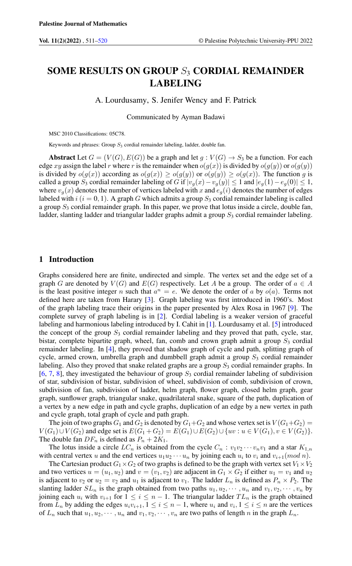# SOME RESULTS ON GROUP  $S_3$  CORDIAL REMAINDER LABELING

A. Lourdusamy, S. Jenifer Wency and F. Patrick

Communicated by Ayman Badawi

MSC 2010 Classifications: 05C78.

Keywords and phrases: Group  $S_3$  cordial remainder labeling, ladder, double fan.

Abstract Let  $G = (V(G), E(G))$  be a graph and let  $g : V(G) \rightarrow S_3$  be a function. For each edge xy assign the label r where r is the remainder when  $o(g(x))$  is divided by  $o(g(y))$  or  $o(g(y))$ is divided by  $o(g(x))$  according as  $o(g(x)) \geq o(g(y))$  or  $o(g(y)) \geq o(g(x))$ . The function g is called a group S<sub>3</sub> cordial remainder labeling of G if  $|v_q(x) - v_q(y)| \le 1$  and  $|e_q(1) - e_q(0)| \le 1$ , where  $v_g(x)$  denotes the number of vertices labeled with x and  $e_g(i)$  denotes the number of edges labeled with  $i$  ( $i = 0, 1$ ). A graph G which admits a group  $S_3$  cordial remainder labeling is called a group  $S_3$  cordial remainder graph. In this paper, we prove that lotus inside a circle, double fan, ladder, slanting ladder and triangular ladder graphs admit a group  $S<sub>3</sub>$  cordial remainder labeling.

# 1 Introduction

Graphs considered here are finite, undirected and simple. The vertex set and the edge set of a graph G are denoted by  $V(G)$  and  $E(G)$  respectively. Let A be a group. The order of  $a \in A$ is the least positive integer n such that  $a^n = e$ . We denote the order of a by  $o(a)$ . Terms not defined here are taken from Harary [\[3\]](#page-8-1). Graph labeling was first introduced in 1960's. Most of the graph labeling trace their origins in the paper presented by Alex Rosa in 1967 [\[9\]](#page-8-2). The complete survey of graph labeling is in [\[2\]](#page-8-3). Cordial labeling is a weaker version of graceful labeling and harmonious labeling introduced by I. Cahit in [\[1\]](#page-8-4). Lourdusamy et al. [\[5\]](#page-8-5) introduced the concept of the group  $S_3$  cordial remainder labeling and they proved that path, cycle, star, bistar, complete bipartite graph, wheel, fan, comb and crown graph admit a group  $S_3$  cordial remainder labeling. In [\[4\]](#page-8-6), they proved that shadow graph of cycle and path, splitting graph of cycle, armed crown, umbrella graph and dumbbell graph admit a group  $S_3$  cordial remainder labeling. Also they proved that snake related graphs are a group  $S_3$  cordial remainder graphs. In  $[6, 7, 8]$  $[6, 7, 8]$  $[6, 7, 8]$  $[6, 7, 8]$  $[6, 7, 8]$ , they investigated the behaviour of group  $S_3$  cordial remainder labeling of subdivision of star, subdivision of bistar, subdivision of wheel, subdivision of comb, subdivision of crown, subdivision of fan, subdivision of ladder, helm graph, flower graph, closed helm graph, gear graph, sunflower graph, triangular snake, quadrilateral snake, square of the path, duplication of a vertex by a new edge in path and cycle graphs, duplication of an edge by a new vertex in path and cycle graph, total graph of cycle and path graph.

The join of two graphs  $G_1$  and  $G_2$  is denoted by  $G_1 + G_2$  and whose vertex set is  $V(G_1+G_2)$  =  $V(G_1) \cup V(G_2)$  and edge set is  $E(G_1+G_2) = E(G_1) \cup E(G_2) \cup \{uv : u \in V(G_1), v \in V(G_2)\}.$ The double fan  $DF_n$  is defined as  $P_n + 2K_1$ .

The lotus inside a circle  $LC_n$  is obtained from the cycle  $C_n : v_1v_2 \cdots v_nv_1$  and a star  $K_{1,n}$ with central vertex u and the end vertices  $u_1u_2 \cdots u_n$  by joining each  $u_i$  to  $v_i$  and  $v_{i+1}(mod n)$ .

The Cartesian product  $G_1 \times G_2$  of two graphs is defined to be the graph with vertex set  $V_1 \times V_2$ and two vertices  $u = (u_1, u_2)$  and  $v = (v_1, v_2)$  are adjacent in  $G_1 \times G_2$  if either  $u_1 = v_1$  and  $u_2$ is adjacent to  $v_2$  or  $u_2 = v_2$  and  $u_1$  is adjacent to  $v_1$ . The ladder  $L_n$  is defined as  $P_n \times P_2$ . The slanting ladder  $SL_n$  is the graph obtained from two paths  $u_1, u_2, \dots, u_n$  and  $v_1, v_2, \dots, v_n$  by joining each  $u_i$  with  $v_{i+1}$  for  $1 \leq i \leq n-1$ . The triangular ladder  $TL_n$  is the graph obtained from  $L_n$  by adding the edges  $u_i v_{i+1}$ ,  $1 \le i \le n-1$ , where  $u_i$  and  $v_i$ ,  $1 \le i \le n$  are the vertices of  $L_n$  such that  $u_1, u_2, \dots, u_n$  and  $v_1, v_2, \dots, v_n$  are two paths of length n in the graph  $L_n$ .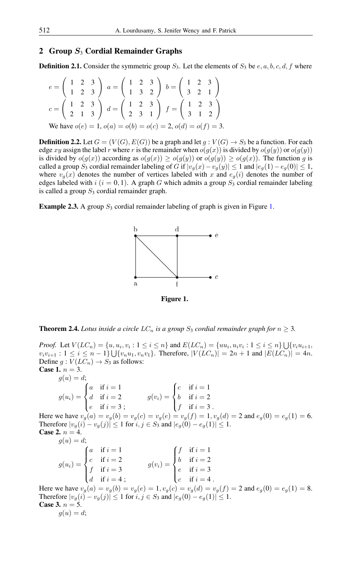## 2 Group  $S_3$  Cordial Remainder Graphs

**Definition 2.1.** Consider the symmetric group  $S_3$ . Let the elements of  $S_3$  be  $e, a, b, c, d, f$  where

$$
e = \begin{pmatrix} 1 & 2 & 3 \\ 1 & 2 & 3 \end{pmatrix} a = \begin{pmatrix} 1 & 2 & 3 \\ 1 & 3 & 2 \end{pmatrix} b = \begin{pmatrix} 1 & 2 & 3 \\ 3 & 2 & 1 \end{pmatrix}
$$
  
\n
$$
c = \begin{pmatrix} 1 & 2 & 3 \\ 2 & 1 & 3 \end{pmatrix} d = \begin{pmatrix} 1 & 2 & 3 \\ 2 & 3 & 1 \end{pmatrix} f = \begin{pmatrix} 1 & 2 & 3 \\ 3 & 1 & 2 \end{pmatrix}
$$
  
\nWe have  $o(e) = 1$ ,  $o(a) = o(b) = o(c) = 2$ ,  $o(d) = o(f) = 3$ .

**Definition 2.2.** Let  $G = (V(G), E(G))$  be a graph and let  $g : V(G) \rightarrow S_3$  be a function. For each edge xy assign the label r where r is the remainder when  $o(g(x))$  is divided by  $o(g(y))$  or  $o(g(y))$ is divided by  $o(g(x))$  according as  $o(g(x)) \geq o(g(y))$  or  $o(g(y)) \geq o(g(x))$ . The function g is called a group S<sub>3</sub> cordial remainder labeling of G if  $|v_q(x)-v_q(y)| \leq 1$  and  $|e_q(1)-e_q(0)| \leq 1$ , where  $v_q(x)$  denotes the number of vertices labeled with x and  $e_q(i)$  denotes the number of edges labeled with  $i$  ( $i = 0, 1$ ). A graph G which admits a group  $S_3$  cordial remainder labeling is called a group  $S_3$  cordial remainder graph.

**Example 2.3.** A group  $S_3$  cordial remainder labeling of graph is given in Figure [1.](#page-1-0)



<span id="page-1-0"></span>Figure 1.

**Theorem 2.4.** *Lotus inside a circle*  $LC_n$  *is a group*  $S_3$  *cordial remainder graph for*  $n \geq 3$ *.* 

*Proof.* Let  $V(LC_n) = \{u, u_i, v_i : 1 \le i \le n\}$  and  $E(LC_n) = \{uu_i, u_i v_i : 1 \le i \le n\} \bigcup \{v_i u_{i+1}, u_i v_i : 1 \le i \le n\}$  $v_i v_{i+1}$ :  $1 \le i \le n-1$   $\bigcup \{v_n u_1, v_n v_1\}$ . Therefore,  $|V(LC_n)| = 2n+1$  and  $|E(LC_n)| = 4n$ . Define  $g: V(LC_n) \rightarrow S_3$  as follows: **Case 1.**  $n = 3$ .

 $g(u) = d^2$ 

| $g(w) = w$                                                |                                                   |                                                                                   |                     |
|-----------------------------------------------------------|---------------------------------------------------|-----------------------------------------------------------------------------------|---------------------|
|                                                           | $\int a$ if $i=1$                                 |                                                                                   |                     |
| $g(u_i) = \begin{cases} d & \text{if } i = 2 \end{cases}$ |                                                   | $g(v_i) = \begin{cases} c & \text{if } i = 1 \\ b & \text{if } i = 2 \end{cases}$ |                     |
|                                                           | $\begin{cases} e & \text{if } i = 3; \end{cases}$ |                                                                                   | $\int f$ if $i=3$ . |

Here we have  $v_g(a) = v_g(b) = v_g(c) = v_g(e) = v_g(f) = 1$ ,  $v_g(d) = 2$  and  $e_g(0) = e_g(1) = 6$ . Therefore  $|v_g(i) - v_g(j)| \le 1$  for  $i, j \in S_3$  and  $|e_g(0) - e_g(1)| \le 1$ . **Case 2.**  $n = 4$ .  $g(u) = d;$ 

|  | $g(u_i) = \begin{cases} a & \text{if } i = 1 \\ c & \text{if } i = 2 \\ f & \text{if } i = 3 \end{cases}$<br>$\int d$ if $i = 4$ ; | $g(v_i) = \begin{cases} f & \text{if } i = 1 \\ b & \text{if } i = 2 \\ e & \text{if } i = 3 \end{cases}$ |                       |
|--|------------------------------------------------------------------------------------------------------------------------------------|-----------------------------------------------------------------------------------------------------------|-----------------------|
|  |                                                                                                                                    |                                                                                                           | $\int_{c}$ if $i=4$ . |

Here we have  $v_g(a) = v_g(b) = v_g(e) = 1$ ,  $v_g(c) = v_g(d) = v_g(f) = 2$  and  $e_g(0) = e_g(1) = 8$ . Therefore  $|v_g(i) - v_g(j)| \le 1$  for  $i, j \in S_3$  and  $|e_g(0) - e_g(1)| \le 1$ . **Case 3.**  $n = 5$ .  $g(u) = d;$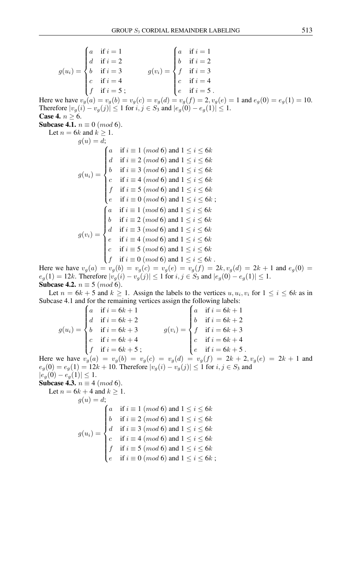$$
g(u_i) = \begin{cases} a & \text{if } i = 1 \\ d & \text{if } i = 2 \\ b & \text{if } i = 3 \\ c & \text{if } i = 4 \\ f & \text{if } i = 5 \\ c & \text{if } i = 5 \end{cases} \qquad g(v_i) = \begin{cases} a & \text{if } i = 1 \\ b & \text{if } i = 2 \\ f & \text{if } i = 3 \\ c & \text{if } i = 4 \\ e & \text{if } i = 5 \end{cases}
$$

Here we have  $v_g(a) = v_g(b) = v_g(c) = v_g(d) = v_g(f) = 2, v_g(e) = 1$  and  $e_g(0) = e_g(1) = 10$ . Therefore  $|v_q(i) - v_q(j)| \le 1$  for  $i, j \in S_3$  and  $|e_q(0) - e_q(1)| \le 1$ . Case 4.  $n \geq 6$ .

**Subcase 4.1.**  $n \equiv 0 \ (mod \ 6)$ .

Let  $n =$ 

6k and 
$$
k \geq 1
$$
.  
\n
$$
g(u) = d;
$$
  
\n
$$
g(u_i) = \begin{cases} a & \text{if } i \equiv 1 \pmod{6} \text{ and } 1 \leq i \leq 6k \\ d & \text{if } i \equiv 2 \pmod{6} \text{ and } 1 \leq i \leq 6k \\ c & \text{if } i \equiv 3 \pmod{6} \text{ and } 1 \leq i \leq 6k \\ c & \text{if } i \equiv 4 \pmod{6} \text{ and } 1 \leq i \leq 6k \\ f & \text{if } i \equiv 5 \pmod{6} \text{ and } 1 \leq i \leq 6k \\ e & \text{if } i \equiv 0 \pmod{6} \text{ and } 1 \leq i \leq 6k \\ e & \text{if } i \equiv 1 \pmod{6} \text{ and } 1 \leq i \leq 6k \\ b & \text{if } i \equiv 2 \pmod{6} \text{ and } 1 \leq i \leq 6k \\ d & \text{if } i \equiv 3 \pmod{6} \text{ and } 1 \leq i \leq 6k \\ e & \text{if } i \equiv 4 \pmod{6} \text{ and } 1 \leq i \leq 6k \\ e & \text{if } i \equiv 5 \pmod{6} \text{ and } 1 \leq i \leq 6k \\ c & \text{if } i \equiv 5 \pmod{6} \text{ and } 1 \leq i \leq 6k \\ f & \text{if } i \equiv 0 \pmod{6} \text{ and } 1 \leq i \leq 6k \end{cases}
$$

Here we have  $v_g(a) = v_g(b) = v_g(c) = v_g(e) = v_g(f) = 2k, v_g(d) = 2k + 1$  and  $e_g(0) = 0$  $e_g(1) = 12k$ . Therefore  $|v_g(i) - v_g(j)| \le 1$  for  $i, j \in S_3$  and  $|e_g(0) - e_g(1)| \le 1$ . **Subcase 4.2.**  $n \equiv 5 \pmod{6}$ .

Let  $n = 6k + 5$  and  $k \ge 1$ . Assign the labels to the vertices  $u, u_i, v_i$  for  $1 \le i \le 6k$  as in Subcase 4.1 and for the remaining vertices assign the following labels:

$$
g(u_i) = \begin{cases} a & \text{if } i = 6k + 1 \\ d & \text{if } i = 6k + 2 \\ b & \text{if } i = 6k + 3 \\ c & \text{if } i = 6k + 4 \\ f & \text{if } i = 6k + 5 \\ \end{cases} \qquad g(v_i) = \begin{cases} a & \text{if } i = 6k + 1 \\ b & \text{if } i = 6k + 2 \\ f & \text{if } i = 6k + 3 \\ c & \text{if } i = 6k + 4 \\ e & \text{if } i = 6k + 5 \\ \end{cases}
$$

Here we have  $v_g(a) = v_g(b) = v_g(c) = v_g(d) = v_g(f) = 2k + 2, v_g(e) = 2k + 1$  and  $e_g(0) = e_g(1) = 12k + 10$ . Therefore  $|v_g(i) - v_g(j)| \le 1$  for  $i, j \in S_3$  and  $|e_g(0) - e_g(1)| \leq 1.$ <br>Subcase 4.3,  $n = 4$ 

**Subcase 4.3.** 
$$
n \equiv 4 \pmod{6}
$$
.

Let 
$$
n = 6k + 4
$$
 and  $k \ge 1$ .  
\n
$$
g(u) = d;
$$
\n
$$
g(u) = \begin{cases}\na & \text{if } i \equiv 1 \pmod{6} \text{ and } 1 \le i \le 6k \\
b & \text{if } i \equiv 2 \pmod{6} \text{ and } 1 \le i \le 6k \\
d & \text{if } i \equiv 3 \pmod{6} \text{ and } 1 \le i \le 6k \\
c & \text{if } i \equiv 4 \pmod{6} \text{ and } 1 \le i \le 6k \\
f & \text{if } i \equiv 5 \pmod{6} \text{ and } 1 \le i \le 6k \\
e & \text{if } i \equiv 0 \pmod{6} \text{ and } 1 \le i \le 6k\n\end{cases}
$$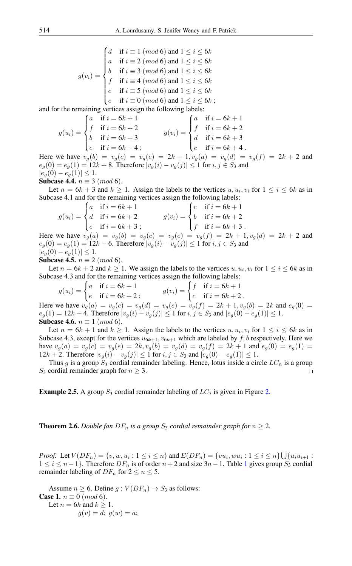$g(v_i) =$  $\sqrt{ }$  $\int$  $\overline{\mathcal{L}}$ if  $i \equiv 1 \pmod{6}$  and  $1 \le i \le 6k$ a if  $i \equiv 2 \pmod{6}$  and  $1 \le i \le 6k$ b if  $i \equiv 3 \pmod{6}$  and  $1 \le i \le 6k$ f if  $i \equiv 4 \pmod{6}$  and  $1 \le i \le 6k$ c if  $i \equiv 5 \pmod{6}$  and  $1 \le i \le 6k$ e if  $i \equiv 0 \pmod{6}$  and  $1 \le i \le 6k$ ;

and for the remaining vertices assign the following labels:

$$
g(u_i) = \begin{cases} a & \text{if } i = 6k + 1 \\ f & \text{if } i = 6k + 2 \\ b & \text{if } i = 6k + 3 \\ e & \text{if } i = 6k + 4 \end{cases} \qquad g(v_i) = \begin{cases} a & \text{if } i = 6k + 1 \\ f & \text{if } i = 6k + 2 \\ d & \text{if } i = 6k + 3 \\ c & \text{if } i = 6k + 4 \end{cases}
$$

Here we have  $v_g(b) = v_g(c) = v_g(e) = 2k + 1$ ,  $v_g(a) = v_g(d) = v_g(f) = 2k + 2$  and  $e_q(0) = e_q(1) = 12k + 8$ . Therefore  $|v_q(i) - v_q(j)| \le 1$  for  $i, j \in S_3$  and  $|e_q(0) - e_q(1)| \leq 1.$ 

**Subcase 4.4.**  $n \equiv 3 \pmod{6}$ .

Let  $n = 6k + 3$  and  $k \ge 1$ . Assign the labels to the vertices  $u, u_i, v_i$  for  $1 \le i \le 6k$  as in Subcase 4.1 and for the remaining vertices assign the following labels:

$$
g(u_i) = \begin{cases} a & \text{if } i = 6k + 1 \\ d & \text{if } i = 6k + 2 \\ e & \text{if } i = 6k + 3 \\ \end{cases}
$$
  
\n
$$
g(v_i) = \begin{cases} c & \text{if } i = 6k + 1 \\ b & \text{if } i = 6k + 2 \\ f & \text{if } i = 6k + 3 \\ \end{cases}
$$
  
\nwe have  $v_r(a) = v_r(b) = v_r(c) = v_r(e) = v_r(f) = 2k + 1$   
\n $v_r(d) = 2k$ 

Here we have  $v_g(a) = v_g(b) = v_g(c) = v_g(e) = v_g(f) = 2k + 1, v_g(d) = 2k + 2$  and  $e_g(0) = e_g(1) = 12k + 6$ . Therefore  $|v_g(i) - v_g(j)| \le 1$  for  $i, j \in S_3$  and  $|e_q(0) - e_q(1)| \leq 1.$ 

Subcase 4.5.  $n \equiv 2 \pmod{6}$ .

Let  $n = 6k + 2$  and  $k \ge 1$ . We assign the labels to the vertices  $u, u_i, v_i$  for  $1 \le i \le 6k$  as in Subcase 4.3 and for the remaining vertices assign the following labels:

$$
g(u_i) = \begin{cases} a & \text{if } i = 6k + 1 \\ e & \text{if } i = 6k + 2 \\ \end{cases}
$$
  
Here we have  $v_g(a) = v_g(c) = v_g(d) = v_g(e) = v_g(f) = 2k + 1, v_g(b) = 2k$  and  $e_g(0) = 0$ 

 $e_g(1) = 12k + 4$ . Therefore  $|v_g(i) - v_g(j)| \le 1$  for  $i, j \in S_3$  and  $|e_g(0) - e_g(1)| \le 1$ . Subcase 4.6.  $n \equiv 1 \pmod{6}$ .

Let  $n = 6k + 1$  and  $k \ge 1$ . Assign the labels to the vertices  $u, u_i, v_i$  for  $1 \le i \le 6k$  as in Subcase 4.3, except for the vertices  $u_{6k+1}, v_{6k+1}$  which are labeled by f, b respectively. Here we have  $v_g(a) = v_g(c) = v_g(e) = 2k$ ,  $v_g(b) = v_g(d) = v_g(f) = 2k + 1$  and  $e_g(0) = e_g(1) = 1$ 12k + 2. Therefore  $|v_g(i) - v_g(j)| \le 1$  for  $i, j \in S_3$  and  $|e_g(0) - e_g(1)| \le 1$ .

Thus g is a group  $S_3$  cordial remainder labeling. Hence, lotus inside a circle  $LC_n$  is a group S<sub>3</sub> cordial remainder graph for  $n \geq 3$ .  $\Box$ 

**Example [2.](#page-4-0)5.** A group  $S_3$  cordial remainder labeling of  $LC_7$  is given in Figure 2.

**Theorem 2.6.** *Double fan DF<sub>n</sub> is a group*  $S_3$  *cordial remainder graph for*  $n \geq 2$ *.* 

*Proof.* Let  $V(DF_n) = \{v, w, u_i : 1 \le i \le n\}$  and  $E(DF_n) = \{vu_i, wu_i : 1 \le i \le n\} \bigcup \{u_iu_{i+1} : 1 \le i \le n\}$  $1 \leq i \leq n-1$  $1 \leq i \leq n-1$ . Therefore  $DF_n$  is of order  $n+2$  and size  $3n-1$ . Table 1 gives group  $S_3$  cordial remainder labeling of  $DF_n$  for  $2 \le n \le 5$ .

Assume  $n \ge 6$ . Define  $g: V(DF_n) \to S_3$  as follows: **Case 1.**  $n \equiv 0 \pmod{6}$ . Let  $n = 6k$  and  $k > 1$ .  $g(v) = d$ ;  $g(w) = a$ ;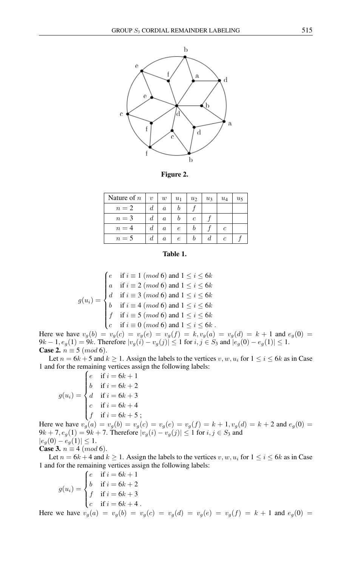

<span id="page-4-0"></span>Figure 2.

| Nature of $n$ | $\eta$ | w       | $u_1$ | u <sub>2</sub> | $u_3$ | $u_4$ | $u_{5}$ |
|---------------|--------|---------|-------|----------------|-------|-------|---------|
| $n=2$         | d      | $\it a$ |       |                |       |       |         |
| $n=3$         |        | $\it a$ |       | C              |       |       |         |
| $n=4$         | đ.     | $\it a$ | e     |                |       | C     |         |
| $n=5$         | a      | a       | e     |                |       |       |         |

## <span id="page-4-1"></span>Table 1.

$$
g(u_i) = \begin{cases} e & \text{if } i \equiv 1 \pmod{6} \text{ and } 1 \le i \le 6k \\ a & \text{if } i \equiv 2 \pmod{6} \text{ and } 1 \le i \le 6k \\ d & \text{if } i \equiv 3 \pmod{6} \text{ and } 1 \le i \le 6k \\ b & \text{if } i \equiv 4 \pmod{6} \text{ and } 1 \le i \le 6k \\ f & \text{if } i \equiv 5 \pmod{6} \text{ and } 1 \le i \le 6k \\ c & \text{if } i \equiv 0 \pmod{6} \text{ and } 1 \le i \le 6k \end{cases}.
$$

Here we have  $v_g(b) = v_g(c) = v_g(e) = v_g(f) = k$ ,  $v_g(a) = v_g(d) = k + 1$  and  $e_g(0) =$  $9k - 1, e_g(1) = 9k$ . Therefore  $|v_g(i) - v_g(j)| \le 1$  for  $i, j \in S_3$  and  $|e_g(0) - e_g(1)| \le 1$ . **Case 2.**  $n \equiv 5 \pmod{6}$ .

Let  $n = 6k + 5$  and  $k \ge 1$ . Assign the labels to the vertices  $v, w, u_i$  for  $1 \le i \le 6k$  as in Case 1 and for the remaining vertices assign the following labels:

$$
g(u_i) = \begin{cases} e & \text{if } i = 6k + 1 \\ b & \text{if } i = 6k + 2 \\ d & \text{if } i = 6k + 3 \\ c & \text{if } i = 6k + 4 \\ f & \text{if } i = 6k + 5 \\ \end{cases}
$$

Here we have  $v_g(a) = v_g(b) = v_g(c) = v_g(e) = v_g(f) = k + 1, v_g(d) = k + 2$  and  $e_g(0) =$  $9k + 7, e<sub>g</sub>(1) = 9k + 7$ . Therefore  $|v<sub>g</sub>(i) - v<sub>g</sub>(j)| \le 1$  for  $i, j \in S<sub>3</sub>$  and  $|e_g(0) - e_g(1)| \leq 1.$ **Case 3.**  $n \equiv 4 \pmod{6}$ .

Let  $n = 6k + 4$  and  $k \ge 1$ . Assign the labels to the vertices  $v, w, u_i$  for  $1 \le i \le 6k$  as in Case 1 and for the remaining vertices assign the following labels:

$$
g(u_i) = \begin{cases} e & \text{if } i = 6k + 1 \\ b & \text{if } i = 6k + 2 \\ f & \text{if } i = 6k + 3 \\ c & \text{if } i = 6k + 4 \end{cases}
$$

Here we have  $v_g(a) = v_g(b) = v_g(c) = v_g(d) = v_g(e) = v_g(f) = k + 1$  and  $e_g(0) =$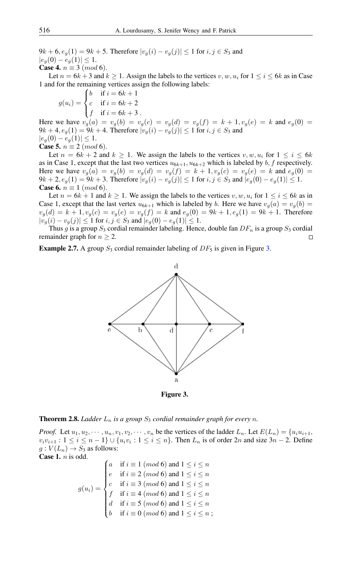$9k + 6$ ,  $e_q(1) = 9k + 5$ . Therefore  $|v_q(i) - v_q(j)| \le 1$  for  $i, j \in S_3$  and  $|e_q(0) - e_q(1)| \leq 1.$ **Case 4.**  $n \equiv 3 \ (mod \ 6)$ .

Let  $n = 6k + 3$  and  $k \ge 1$ . Assign the labels to the vertices v, w,  $u_i$  for  $1 \le i \le 6k$  as in Case 1 and for the remaining vertices assign the following labels:

$$
g(u_i) = \begin{cases} b & \text{if } i = 6k + 1 \\ c & \text{if } i = 6k + 2 \\ f & \text{if } i = 6k + 3 \end{cases}.
$$

Here we have  $v_g(a) = v_g(b) = v_g(c) = v_g(d) = v_g(f) = k + 1, v_g(e) = k$  and  $e_g(0) =$  $9k + 4, e<sub>g</sub>(1) = 9k + 4$ . Therefore  $|v<sub>g</sub>(i) - v<sub>g</sub>(j)| \le 1$  for  $i, j \in S<sub>3</sub>$  and  $|e_g(0) - e_g(1)| \leq 1.$ **Case 5.**  $n \equiv 2 \ (mod \ 6)$ .

Let  $n = 6k + 2$  and  $k \ge 1$ . We assign the labels to the vertices  $v, w, u_i$  for  $1 \le i \le 6k$ as in Case 1, except that the last two vertices  $u_{6k+1}, u_{6k+2}$  which is labeled by  $b, f$  respectively. Here we have  $v_q(a) = v_q(b) = v_q(d) = v_q(f) = k + 1, v_q(c) = v_q(e) = k$  and  $e_q(0) =$  $9k + 2$ ,  $e_q(1) = 9k + 3$ . Therefore  $|v_q(i) - v_q(j)| \le 1$  for  $i, j \in S_3$  and  $|e_q(0) - e_q(1)| \le 1$ . **Case 6.**  $n \equiv 1 \pmod{6}$ .

Let  $n = 6k + 1$  and  $k \ge 1$ . We assign the labels to the vertices v, w,  $u_i$  for  $1 \le i \le 6k$  as in Case 1, except that the last vertex  $u_{6k+1}$  which is labeled by b. Here we have  $v_q(a) = v_q(b)$  $v_g(d) = k + 1, v_g(c) = v_g(e) = v_g(f) = k$  and  $e_g(0) = 9k + 1, e_g(1) = 9k + 1$ . Therefore  $|v_g(i) - v_g(j)| \le 1$  for  $i, j \in S_3$  and  $|e_g(0) - e_g(1)| \le 1$ .

Thus g is a group  $S_3$  cordial remainder labeling. Hence, double fan  $DF_n$  is a group  $S_3$  cordial remainder graph for  $n \geq 2$ .  $\Box$ 

**Example 2.7.** A group  $S_3$  cordial remainder labeling of  $DF_5$  is given in Figure [3.](#page-5-0)



<span id="page-5-0"></span>Figure 3.

#### <span id="page-5-1"></span>**Theorem 2.8.** *Ladder*  $L_n$  *is a group*  $S_3$  *cordial remainder graph for every n*.

*Proof.* Let  $u_1, u_2, \dots, u_n, v_1, v_2, \dots, v_n$  be the vertices of the ladder  $L_n$ . Let  $E(L_n) = \{u_iu_{i+1}, u_{i+1}\}$  $v_i v_{i+1}$ :  $1 \le i \le n-1$ }  $\cup$   $\{u_i v_i : 1 \le i \le n\}$ . Then  $L_n$  is of order  $2n$  and size  $3n-2$ . Define  $g: V(L_n) \to S_3$  as follows: **Case 1.**  $n$  is odd.

$$
g(u_i) = \begin{cases} a & \text{if } i \equiv 1 \pmod{6} \text{ and } 1 \leq i \leq n \\ e & \text{if } i \equiv 2 \pmod{6} \text{ and } 1 \leq i \leq n \\ c & \text{if } i \equiv 3 \pmod{6} \text{ and } 1 \leq i \leq n \\ f & \text{if } i \equiv 4 \pmod{6} \text{ and } 1 \leq i \leq n \\ d & \text{if } i \equiv 5 \pmod{6} \text{ and } 1 \leq i \leq n \\ b & \text{if } i \equiv 0 \pmod{6} \text{ and } 1 \leq i \leq n \end{cases}
$$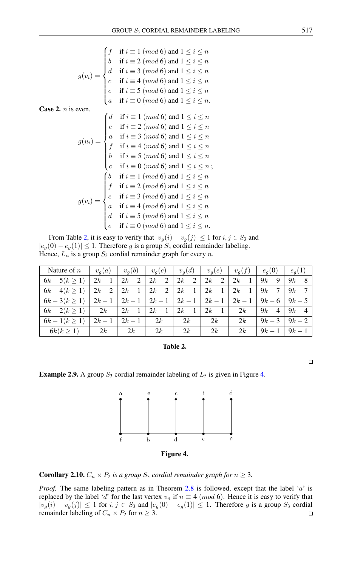$$
g(v_i) = \begin{cases} f & \text{if } i \equiv 1 \pmod{6} \text{ and } 1 \le i \le n \\ b & \text{if } i \equiv 2 \pmod{6} \text{ and } 1 \le i \le n \\ d & \text{if } i \equiv 3 \pmod{6} \text{ and } 1 \le i \le n \\ c & \text{if } i \equiv 4 \pmod{6} \text{ and } 1 \le i \le n \\ e & \text{if } i \equiv 5 \pmod{6} \text{ and } 1 \le i \le n \\ a & \text{if } i \equiv 0 \pmod{6} \text{ and } 1 \le i \le n. \end{cases}
$$

**Case 2.**  $n$  is even.

$$
g(u_i) = \begin{cases} d & \text{if } i \equiv 1 \pmod{6} \text{ and } 1 \leq i \leq n \\ e & \text{if } i \equiv 2 \pmod{6} \text{ and } 1 \leq i \leq n \\ a & \text{if } i \equiv 3 \pmod{6} \text{ and } 1 \leq i \leq n \\ f & \text{if } i \equiv 4 \pmod{6} \text{ and } 1 \leq i \leq n \\ b & \text{if } i \equiv 5 \pmod{6} \text{ and } 1 \leq i \leq n \\ c & \text{if } i \equiv 0 \pmod{6} \text{ and } 1 \leq i \leq n \\ f & \text{if } i \equiv 1 \pmod{6} \text{ and } 1 \leq i \leq n \\ f & \text{if } i \equiv 2 \pmod{6} \text{ and } 1 \leq i \leq n \\ g(v_i) = \begin{cases} e & \text{if } i \equiv 3 \pmod{6} \text{ and } 1 \leq i \leq n \\ a & \text{if } i \equiv 3 \pmod{6} \text{ and } 1 \leq i \leq n \\ a & \text{if } i \equiv 4 \pmod{6} \text{ and } 1 \leq i \leq n \\ d & \text{if } i \equiv 5 \pmod{6} \text{ and } 1 \leq i \leq n \\ e & \text{if } i \equiv 0 \pmod{6} \text{ and } 1 \leq i \leq n. \end{cases}
$$

From Table [2,](#page-6-0) it is easy to verify that  $|v_g(i) - v_g(j)| \le 1$  for  $i, j \in S_3$  and  $|e_g(0) - e_g(1)| \leq 1$ . Therefore g is a group  $S_3$  cordial remainder labeling. Hence,  $L_n$  is a group  $S_3$  cordial remainder graph for every n.

| Nature of $n \mid v_q(a) \mid v_q(b) \mid v_q(c) \mid v_q(d) \mid v_q(e) \mid v_q(f) \mid e_q(0) \mid e_q(1)$ |                 |                                   |                                 |    |    |                 |                 |
|---------------------------------------------------------------------------------------------------------------|-----------------|-----------------------------------|---------------------------------|----|----|-----------------|-----------------|
| $6k-5(k \geq 1)$   $2k-1$   $2k-2$                                                                            |                 | $2k-2$   2k - 2   2k - 2   2k - 1 |                                 |    |    | $9k - 9$        | $9k-8$          |
| $6k-4(k \ge 1)$   2k - 2   2k - 1   2k - 2   2k - 1   2k - 1   2k - 1   9k - 7   9k - 7                       |                 |                                   |                                 |    |    |                 |                 |
| $6k-3(k \ge 1)$ $2k-1$ $2k-1$ $2k-1$ $2k-1$ $2k-1$ $2k-1$ $2k-1$ $2k-1$ $9k-6$ $9k-5$                         |                 |                                   |                                 |    |    |                 |                 |
| $6k-2(k \geq 1)$   2k   2k - 1                                                                                |                 |                                   | $2k-1$   $2k-1$   $2k-1$   $2k$ |    |    |                 | $9k-4$   $9k-4$ |
| $6k-1(k \geq 1)$                                                                                              | $2k-1$   $2k-1$ | $\vert 2k \vert$                  | 2k                              | 2k | 2k |                 | $9k-3$   $9k-2$ |
| $6k(k \geq 1)$   2k                                                                                           | 2k              | 2k                                | $1-2k$                          | 2k | 2k | $9k-1$   $9k-1$ |                 |

# <span id="page-6-0"></span>Table 2.

**Example 2.9.** A group  $S_3$  cordial remainder labeling of  $L_5$  is given in Figure [4.](#page-6-1)

<span id="page-6-1"></span>

**Corollary 2.10.**  $C_n \times P_2$  *is a group*  $S_3$  *cordial remainder graph for*  $n \geq 3$ *.* 

*Proof.* The same labeling pattern as in Theorem [2.8](#page-5-1) is followed, except that the label 'a' is replaced by the label 'd' for the last vertex  $v_n$  if  $n \equiv 4 \pmod{6}$ . Hence it is easy to verify that  $|v_g(i) - v_g(j)| \le 1$  for  $i, j \in S_3$  and  $|e_g(0) - e_g(1)| \le 1$ . Therefore g is a group  $S_3$  cordial remainder labeling of  $C_n \times P_2$  for  $n \geq 3$ .  $\Box$ 

 $\Box$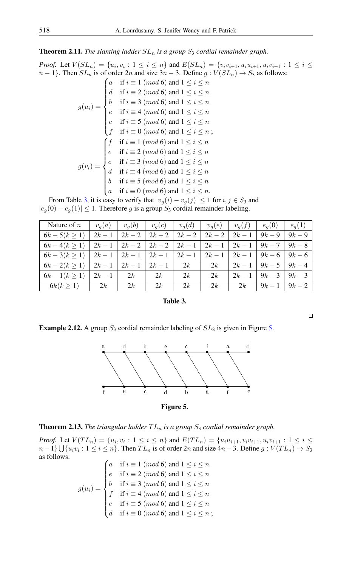**Theorem 2.11.** *The slanting ladder*  $SL_n$  *is a group*  $S_3$  *cordial remainder graph.* 

*Proof.* Let  $V(SL_n) = \{u_i, v_i : 1 \le i \le n\}$  and  $E(SL_n) = \{v_i v_{i+1}, u_i u_{i+1}, u_i v_{i+1} : 1 \le i \le n\}$  $n-1$ }. Then  $SL_n$  is of order 2n and size  $3n-3$ . Define  $g: V(SL_n) \to S_3$  as follows:

$$
g(u_i) = \begin{cases} a & \text{if } i \equiv 1 \pmod{6} \text{ and } 1 \leq i \leq n \\ d & \text{if } i \equiv 2 \pmod{6} \text{ and } 1 \leq i \leq n \\ b & \text{if } i \equiv 3 \pmod{6} \text{ and } 1 \leq i \leq n \\ e & \text{if } i \equiv 4 \pmod{6} \text{ and } 1 \leq i \leq n \\ c & \text{if } i \equiv 5 \pmod{6} \text{ and } 1 \leq i \leq n \\ f & \text{if } i \equiv 0 \pmod{6} \text{ and } 1 \leq i \leq n \\ e & \text{if } i \equiv 1 \pmod{6} \text{ and } 1 \leq i \leq n \\ e & \text{if } i \equiv 2 \pmod{6} \text{ and } 1 \leq i \leq n \\ e & \text{if } i \equiv 3 \pmod{6} \text{ and } 1 \leq i \leq n \\ d & \text{if } i \equiv 4 \pmod{6} \text{ and } 1 \leq i \leq n \\ b & \text{if } i \equiv 5 \pmod{6} \text{ and } 1 \leq i \leq n \\ a & \text{if } i \equiv 0 \pmod{6} \text{ and } 1 \leq i \leq n. \end{cases}
$$

From Table [3,](#page-7-0) it is easy to verify that  $|v_g(i) - v_g(j)| \le 1$  for  $i, j \in S_3$  and  $|e_g(0) - e_g(1)| \leq 1$ . Therefore g is a group  $S_3$  cordial remainder labeling.

| Nature of $n$                               |        |        | $v_q(a)$   $v_q(b)$   $v_q(c)$   $v_q(d)$   $v_q(e)$   $v_q(f)$   $e_q(0)$ |    |                 |        |                 | $e_q(1)$ |
|---------------------------------------------|--------|--------|----------------------------------------------------------------------------|----|-----------------|--------|-----------------|----------|
| $6k - 5(k \ge 1)$                           | $2k-1$ | $2k-2$ | $2k-2$                                                                     |    | $2k-2$   $2k-2$ | $2k-1$ | $9k-9$          | $9k-9$   |
| $6k-4(k>1)$                                 |        |        | $2k-1$   $2k-2$   $2k-2$   $2k-1$   $2k-1$   $2k-1$   $9k-7$   $9k-8$      |    |                 |        |                 |          |
| $6k-3(k \geq 1)$                            |        |        | $2k-1$   $2k-1$   $2k-1$   $2k-1$   $2k-1$   $2k-1$   $9k-6$   $9k-6$      |    |                 |        |                 |          |
| $6k-2(k \geq 1)$   $2k-1$   $2k-1$   $2k-1$ |        |        |                                                                            | 2k | 2k              | $2k-1$ | $9k-5$   $9k-4$ |          |
| $6k-1(k \geq 1)$                            | $2k-1$ | 2k     | 2k                                                                         | 2k | 2k              | $2k-1$ | $9k-3$          | $9k-3$   |
| $6k(k \ge 1)$                               | 2k     | 2k     | 2k                                                                         | 2k | 2k              | 2k     | $9k-1$          | $9k - 2$ |

## <span id="page-7-0"></span>Table 3.

**Example 2.12.** A group  $S_3$  cordial remainder labeling of  $SL_8$  is given in Figure [5.](#page-7-1)



<span id="page-7-1"></span>

**Theorem 2.13.** *The triangular ladder*  $TL_n$  *is a group*  $S_3$  *cordial remainder graph.* 

*Proof.* Let  $V(T_{n}) = \{u_i, v_i : 1 \leq i \leq n\}$  and  $E(T_{n}) = \{u_iu_{i+1}, v_iv_{i+1}, u_iv_{i+1} : 1 \leq i \leq n\}$  $n-1\} \bigcup \{u_i v_i : 1 \leq i \leq n\}$ . Then  $TL_n$  is of order  $2n$  and size  $4n-3$ . Define  $g: V(TL_n) \to S_3$ as follows:

$$
g(u_i) = \begin{cases} a & \text{if } i \equiv 1 \pmod{6} \text{ and } 1 \leq i \leq n \\ e & \text{if } i \equiv 2 \pmod{6} \text{ and } 1 \leq i \leq n \\ b & \text{if } i \equiv 3 \pmod{6} \text{ and } 1 \leq i \leq n \\ f & \text{if } i \equiv 4 \pmod{6} \text{ and } 1 \leq i \leq n \\ c & \text{if } i \equiv 5 \pmod{6} \text{ and } 1 \leq i \leq n \\ d & \text{if } i \equiv 0 \pmod{6} \text{ and } 1 \leq i \leq n \end{cases}
$$

 $\Box$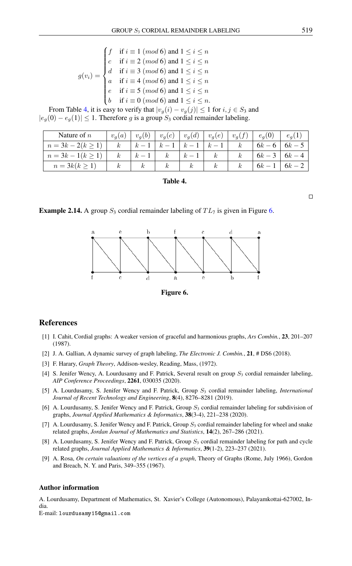| $g(v_i) = \begin{cases} f & \text{if } i \equiv 1 \pmod{6} \text{ and } 1 \leq i \leq n \\ c & \text{if } i \equiv 2 \pmod{6} \text{ and } 1 \leq i \leq n \\ d & \text{if } i \equiv 3 \pmod{6} \text{ and } 1 \leq i \leq n \\ a & \text{if } i \equiv 4 \pmod{6} \text{ and } 1 \leq i \leq n \\ e & \text{if } i \equiv 5 \pmod{6} \text{ and } 1 \leq i \leq n \\ b & \text{if } i \equiv 0 \pmod{6} \text{ and } 1 \leq i \leq n. \end{cases}$ |  |
|------------------------------------------------------------------------------------------------------------------------------------------------------------------------------------------------------------------------------------------------------------------------------------------------------------------------------------------------------------------------------------------------------------------------------------------------------|--|
|                                                                                                                                                                                                                                                                                                                                                                                                                                                      |  |
|                                                                                                                                                                                                                                                                                                                                                                                                                                                      |  |
|                                                                                                                                                                                                                                                                                                                                                                                                                                                      |  |
|                                                                                                                                                                                                                                                                                                                                                                                                                                                      |  |

From Table [4,](#page-8-10) it is easy to verify that  $|v_g(i) - v_g(j)| \le 1$  for  $i, j \in S_3$  and  $|e_q(0) - e_q(1)| \leq 1$ . Therefore g is a group  $S_3$  cordial remainder labeling.

| Nature of $n$          | $v_q(a)$         |          | $v_g(b)$ $v_g(c)$ | $v_g(d)$ |          | $\mid v_g(e) \mid v_g(f) \mid$ | $e_q(0)$ | $e_a$ |
|------------------------|------------------|----------|-------------------|----------|----------|--------------------------------|----------|-------|
| $n = 3k - 2(k \geq 7)$ | $\boldsymbol{k}$ | $\kappa$ |                   |          |          |                                | $6k-6$   |       |
| $n = 3k - 1(k \geq 1)$ | $\kappa$         | $k-1$    | $\kappa$          | $k-1$    | $\kappa$ |                                | $6k-3$   |       |
| $n = 3k(k \ge 1)$      |                  |          | $\kappa$          | $\kappa$ | $k_{-}$  |                                | $6k -$   |       |

## <span id="page-8-10"></span>Table 4.

**Example 2.14.** A group  $S_3$  cordial remainder labeling of  $TL_7$  is given in Figure [6.](#page-8-11)



<span id="page-8-11"></span>Figure 6.

## <span id="page-8-0"></span>References

- <span id="page-8-4"></span>[1] I. Cahit, Cordial graphs: A weaker version of graceful and harmonious graphs, *Ars Combin.*, 23, 201–207 (1987).
- <span id="page-8-3"></span>[2] J. A. Gallian, A dynamic survey of graph labeling, *The Electronic J. Combin.*, 21, # DS6 (2018).
- <span id="page-8-1"></span>[3] F. Harary, *Graph Theory*, Addison-wesley, Reading, Mass, (1972).
- <span id="page-8-6"></span>[4] S. Jenifer Wency, A. Lourdusamy and F. Patrick, Several result on group  $S_3$  cordial remainder labeling, *AIP Conference Proceedings*, 2261, 030035 (2020).
- <span id="page-8-5"></span>[5] A. Lourdusamy, S. Jenifer Wency and F. Patrick, Group  $S_3$  cordial remainder labeling, *International Journal of Recent Technology and Engineering*, 8(4), 8276–8281 (2019).
- <span id="page-8-7"></span>[6] A. Lourdusamy, S. Jenifer Wency and F. Patrick, Group  $S_3$  cordial remainder labeling for subdivision of graphs, *Journal Applied Mathematics & Informatics*, 38(3-4), 221–238 (2020).
- <span id="page-8-8"></span>[7] A. Lourdusamy, S. Jenifer Wency and F. Patrick, Group  $S_3$  cordial remainder labeling for wheel and snake related graphs, *Jordan Journal of Mathematics and Statistics*, 14(2), 267–286 (2021).
- <span id="page-8-9"></span>[8] A. Lourdusamy, S. Jenifer Wency and F. Patrick, Group  $S_3$  cordial remainder labeling for path and cycle related graphs, *Journal Applied Mathematics & Informatics*, 39(1-2), 223–237 (2021).
- <span id="page-8-2"></span>[9] A. Rosa, *On certain valuations of the vertices of a graph*, Theory of Graphs (Rome, July 1966), Gordon and Breach, N. Y. and Paris, 349–355 (1967).

## Author information

A. Lourdusamy, Department of Mathematics, St. Xavier's College (Autonomous), Palayamkottai-627002, India.

E-mail: lourdusamy15@gmail.com

 $\Box$